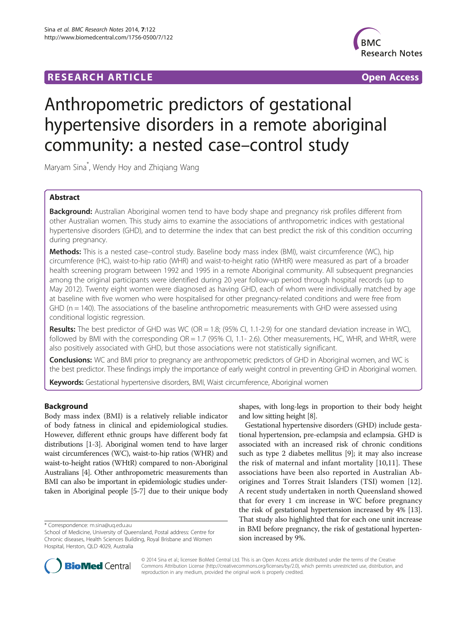# **RESEARCH ARTICLE Example 2014 CONSIDERING A RESEARCH ARTICLE**



# Anthropometric predictors of gestational hypertensive disorders in a remote aboriginal community: a nested case–control study

Maryam Sina\* , Wendy Hoy and Zhiqiang Wang

# Abstract

Background: Australian Aboriginal women tend to have body shape and pregnancy risk profiles different from other Australian women. This study aims to examine the associations of anthropometric indices with gestational hypertensive disorders (GHD), and to determine the index that can best predict the risk of this condition occurring during pregnancy.

Methods: This is a nested case–control study. Baseline body mass index (BMI), waist circumference (WC), hip circumference (HC), waist-to-hip ratio (WHR) and waist-to-height ratio (WHtR) were measured as part of a broader health screening program between 1992 and 1995 in a remote Aboriginal community. All subsequent pregnancies among the original participants were identified during 20 year follow-up period through hospital records (up to May 2012). Twenty eight women were diagnosed as having GHD, each of whom were individually matched by age at baseline with five women who were hospitalised for other pregnancy-related conditions and were free from  $GHD$  ( $n = 140$ ). The associations of the baseline anthropometric measurements with  $GHD$  were assessed using conditional logistic regression.

**Results:** The best predictor of GHD was WC (OR = 1.8; (95% CI, 1.1-2.9) for one standard deviation increase in WC), followed by BMI with the corresponding OR = 1.7 (95% CI, 1.1- 2.6). Other measurements, HC, WHR, and WHtR, were also positively associated with GHD, but those associations were not statistically significant.

Conclusions: WC and BMI prior to pregnancy are anthropometric predictors of GHD in Aboriginal women, and WC is the best predictor. These findings imply the importance of early weight control in preventing GHD in Aboriginal women.

Keywords: Gestational hypertensive disorders, BMI, Waist circumference, Aboriginal women

# Background

Body mass index (BMI) is a relatively reliable indicator of body fatness in clinical and epidemiological studies. However, different ethnic groups have different body fat distributions [[1-3\]](#page-3-0). Aboriginal women tend to have larger waist circumferences (WC), waist-to-hip ratios (WHR) and waist-to-height ratios (WHtR) compared to non-Aboriginal Australians [\[4\]](#page-3-0). Other anthropometric measurements than BMI can also be important in epidemiologic studies undertaken in Aboriginal people [\[5-7\]](#page-3-0) due to their unique body shapes, with long-legs in proportion to their body height and low sitting height [\[8\]](#page-3-0).

Gestational hypertensive disorders (GHD) include gestational hypertension, pre-eclampsia and eclampsia. GHD is associated with an increased risk of chronic conditions such as type 2 diabetes mellitus [\[9\]](#page-3-0); it may also increase the risk of maternal and infant mortality [[10,11\]](#page-3-0). These associations have been also reported in Australian Aborigines and Torres Strait Islanders (TSI) women [\[12](#page-3-0)]. A recent study undertaken in north Queensland showed that for every 1 cm increase in WC before pregnancy the risk of gestational hypertension increased by 4% [[13](#page-3-0)]. That study also highlighted that for each one unit increase in BMI before pregnancy, the risk of gestational hypertension increased by 9%.



© 2014 Sina et al.; licensee BioMed Central Ltd. This is an Open Access article distributed under the terms of the Creative Commons Attribution License [\(http://creativecommons.org/licenses/by/2.0\)](http://creativecommons.org/licenses/by/2.0), which permits unrestricted use, distribution, and reproduction in any medium, provided the original work is properly credited.

<sup>\*</sup> Correspondence: [m.sina@uq.edu.au](mailto:m.sina@uq.edu.au)

School of Medicine, University of Queensland, Postal address: Centre for Chronic diseases, Health Sciences Building, Royal Brisbane and Women Hospital, Herston, QLD 4029, Australia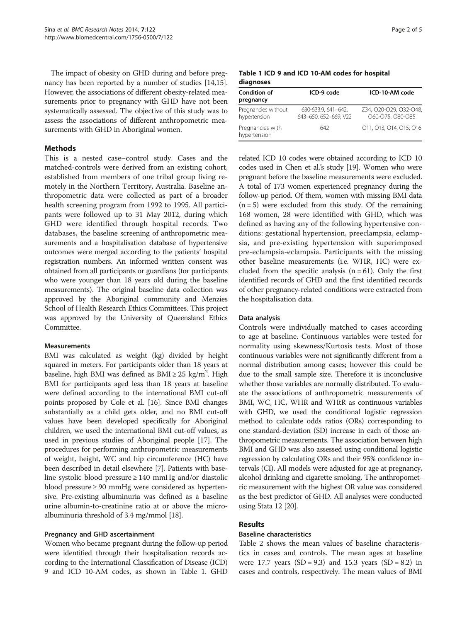The impact of obesity on GHD during and before pregnancy has been reported by a number of studies [\[14,15](#page-3-0)]. However, the associations of different obesity-related measurements prior to pregnancy with GHD have not been systematically assessed. The objective of this study was to assess the associations of different anthropometric measurements with GHD in Aboriginal women.

## Methods

This is a nested case–control study. Cases and the matched-controls were derived from an existing cohort, established from members of one tribal group living remotely in the Northern Territory, Australia. Baseline anthropometric data were collected as part of a broader health screening program from 1992 to 1995. All participants were followed up to 31 May 2012, during which GHD were identified through hospital records. Two databases, the baseline screening of anthropometric measurements and a hospitalisation database of hypertensive outcomes were merged according to the patients' hospital registration numbers. An informed written consent was obtained from all participants or guardians (for participants who were younger than 18 years old during the baseline measurements). The original baseline data collection was approved by the Aboriginal community and Menzies School of Health Research Ethics Committees. This project was approved by the University of Queensland Ethics Committee.

#### Measurements

BMI was calculated as weight (kg) divided by height squared in meters. For participants older than 18 years at baseline, high BMI was defined as  $\text{BMI} \geq 25 \text{ kg/m}^2$ . High BMI for participants aged less than 18 years at baseline were defined according to the international BMI cut-off points proposed by Cole et al. [[16](#page-3-0)]. Since BMI changes substantially as a child gets older, and no BMI cut-off values have been developed specifically for Aboriginal children, we used the international BMI cut-off values, as used in previous studies of Aboriginal people [\[17\]](#page-3-0). The procedures for performing anthropometric measurements of weight, height, WC and hip circumference (HC) have been described in detail elsewhere [[7\]](#page-3-0). Patients with baseline systolic blood pressure  $\geq 140$  mmHg and/or diastolic blood pressure ≥ 90 mmHg were considered as hypertensive. Pre-existing albuminuria was defined as a baseline urine albumin-to-creatinine ratio at or above the microalbuminuria threshold of 3.4 mg/mmol [[18](#page-3-0)].

#### Pregnancy and GHD ascertainment

Women who became pregnant during the follow-up period were identified through their hospitalisation records according to the International Classification of Disease (ICD) 9 and ICD 10-AM codes, as shown in Table 1. GHD

## Table 1 ICD 9 and ICD 10-AM codes for hospital diagnoses

| <b>Condition of</b><br>pregnancy    | ICD-9 code                                   | ICD-10-AM code                             |  |  |
|-------------------------------------|----------------------------------------------|--------------------------------------------|--|--|
| Pregnancies without<br>hypertension | 630-633.9, 641-642,<br>643-650, 652-669, V22 | Z34, O20-O29, O32-O48,<br>O60-O75, O80-O85 |  |  |
| Pregnancies with<br>hypertension    | 642                                          | 011.013.014.015.016                        |  |  |

related ICD 10 codes were obtained according to ICD 10 codes used in Chen et al.'s study [\[19](#page-4-0)]. Women who were pregnant before the baseline measurements were excluded. A total of 173 women experienced pregnancy during the follow-up period. Of them, women with missing BMI data  $(n = 5)$  were excluded from this study. Of the remaining 168 women, 28 were identified with GHD, which was defined as having any of the following hypertensive conditions: gestational hypertension, preeclampsia, eclampsia, and pre-existing hypertension with superimposed pre-eclampsia-eclampsia. Participants with the missing other baseline measurements (i.e. WHR, HC) were excluded from the specific analysis  $(n = 61)$ . Only the first identified records of GHD and the first identified records of other pregnancy-related conditions were extracted from the hospitalisation data.

#### Data analysis

Controls were individually matched to cases according to age at baseline. Continuous variables were tested for normality using skewness/Kurtosis tests. Most of those continuous variables were not significantly different from a normal distribution among cases; however this could be due to the small sample size. Therefore it is inconclusive whether those variables are normally distributed. To evaluate the associations of anthropometric measurements of BMI, WC, HC, WHR and WHtR as continuous variables with GHD, we used the conditional logistic regression method to calculate odds ratios (ORs) corresponding to one standard-deviation (SD) increase in each of those anthropometric measurements. The association between high BMI and GHD was also assessed using conditional logistic regression by calculating ORs and their 95% confidence intervals (CI). All models were adjusted for age at pregnancy, alcohol drinking and cigarette smoking. The anthropometric measurement with the highest OR value was considered as the best predictor of GHD. All analyses were conducted using Stata 12 [[20](#page-4-0)].

# Results

## Baseline characteristics

Table [2](#page-2-0) shows the mean values of baseline characteristics in cases and controls. The mean ages at baseline were 17.7 years  $(SD = 9.3)$  and 15.3 years  $(SD = 8.2)$  in cases and controls, respectively. The mean values of BMI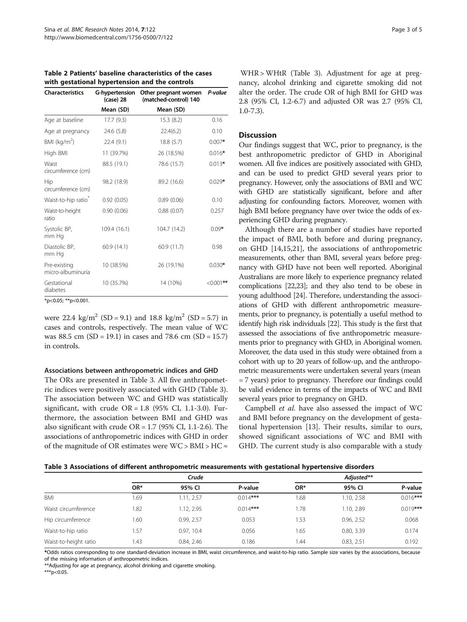<span id="page-2-0"></span>

| Table 2 Patients' baseline characteristics of the cases |  |
|---------------------------------------------------------|--|
| with gestational hypertension and the controls          |  |

| <b>Characteristics</b>            | G-hypertension<br>(case) 28 | Other pregnant women<br>(matched-control) 140 | P-value     |
|-----------------------------------|-----------------------------|-----------------------------------------------|-------------|
|                                   | Mean (SD)                   | Mean (SD)                                     |             |
| Age at baseline                   | 17.7(9.3)                   | 15.3 (8.2)                                    | 0.16        |
| Age at pregnancy                  | 24.6 (5.8)                  | 22.4(6.2)                                     | 0.10        |
| BMI ( $kg/m2$ )                   | 22.4 (9.1)                  | 18.8 (5.7)                                    | $0.007*$    |
| High BMI                          | 11 (39.7%)                  | 26 (18.5%)                                    | $0.016*$    |
| Waist<br>circumference (cm)       | 88.5 (19.1)                 | 78.6 (15.7)                                   | $0.013*$    |
| Hip<br>circumference (cm)         | 98.2 (18.9)                 | 89.2 (16.6)                                   | $0.029*$    |
| Waist-to-hip ratio <sup>®</sup>   | 0.92(0.05)                  | 0.89(0.06)                                    | 0.10        |
| Waist-to-height<br>ratio          | 0.90(0.06)                  | 0.88(0.07)                                    | 0.257       |
| Systolic BP,<br>mm Hg             | 109.4 (16.1)                | 104.7 (14.2)                                  | $0.09*$     |
| Diastolic BP,<br>mm Hq            | 60.9(14.1)                  | 60.9 (11.7)                                   | 0.98        |
| Pre-existing<br>micro-albuminuria | 10 (38.5%)                  | 26 (19.1%)                                    | $0.030*$    |
| Gestational<br>diabetes           | 10 (35.7%)                  | 14 (10%)                                      | $<0.001$ ** |

\*p<0.05; \*\*p<0.001.

were 22.4 kg/m<sup>2</sup> (SD = 9.1) and 18.8 kg/m<sup>2</sup> (SD = 5.7) in cases and controls, respectively. The mean value of WC was 88.5 cm (SD = 19.1) in cases and 78.6 cm (SD = 15.7) in controls.

#### Associations between anthropometric indices and GHD

The ORs are presented in Table 3. All five anthropometric indices were positively associated with GHD (Table 3). The association between WC and GHD was statistically significant, with crude  $OR = 1.8$  (95% CI, 1.1-3.0). Furthermore, the association between BMI and GHD was also significant with crude  $OR = 1.7$  (95% CI, 1.1-2.6). The associations of anthropometric indices with GHD in order of the magnitude of OR estimates were  $WC > BMI > HC \approx$ 

WHR > WHtR (Table 3). Adjustment for age at pregnancy, alcohol drinking and cigarette smoking did not alter the order. The crude OR of high BMI for GHD was 2.8 (95% CI, 1.2-6.7) and adjusted OR was 2.7 (95% CI, 1.0-7.3).

#### Discussion

Our findings suggest that WC, prior to pregnancy, is the best anthropometric predictor of GHD in Aboriginal women. All five indices are positively associated with GHD, and can be used to predict GHD several years prior to pregnancy. However, only the associations of BMI and WC with GHD are statistically significant, before and after adjusting for confounding factors. Moreover, women with high BMI before pregnancy have over twice the odds of experiencing GHD during pregnancy.

Although there are a number of studies have reported the impact of BMI, both before and during pregnancy, on GHD [\[14,15,](#page-3-0)[21\]](#page-4-0), the associations of anthropometric measurements, other than BMI, several years before pregnancy with GHD have not been well reported. Aboriginal Australians are more likely to experience pregnancy related complications [[22,23](#page-4-0)]; and they also tend to be obese in young adulthood [\[24\]](#page-4-0). Therefore, understanding the associations of GHD with different anthropometric measurements, prior to pregnancy, is potentially a useful method to identify high risk individuals [\[22](#page-4-0)]. This study is the first that assessed the associations of five anthropometric measurements prior to pregnancy with GHD, in Aboriginal women. Moreover, the data used in this study were obtained from a cohort with up to 20 years of follow-up, and the anthropometric measurements were undertaken several years (mean = 7 years) prior to pregnancy. Therefore our findings could be valid evidence in terms of the impacts of WC and BMI several years prior to pregnancy on GHD.

Campbell et al. have also assessed the impact of WC and BMI before pregnancy on the development of gestational hypertension [\[13\]](#page-3-0). Their results, similar to ours, showed significant associations of WC and BMI with GHD. The current study is also comparable with a study

| Table 3 Associations of different anthropometric measurements with gestational hypertensive disorders |  |  |
|-------------------------------------------------------------------------------------------------------|--|--|
|-------------------------------------------------------------------------------------------------------|--|--|

|                       | Crude |            | Adjusted** |      |            |            |
|-----------------------|-------|------------|------------|------|------------|------------|
|                       | OR*   | 95% CI     | P-value    | OR*  | 95% CI     | P-value    |
| BMI                   | 1.69  | 1.11, 2.57 | $0.014***$ | 1.68 | 1.10, 2.58 | $0.016***$ |
| Waist circumference   | 1.82  | 1.12.2.95  | $0.014***$ | 1.78 | 1.10.2.89  | $0.019***$ |
| Hip circumference     | 1.60  | 0.99, 2.57 | 0.053      | 1.53 | 0.96.2.52  | 0.068      |
| Waist-to-hip ratio    | 1.57  | 0.97, 10.4 | 0.056      | 1.65 | 0.80, 3.39 | 0.174      |
| Waist-to-height ratio | 1.43  | 0.84, 2.46 | 0.186      | .44  | 0.83.2.51  | 0.192      |

\*Odds ratios corresponding to one standard-deviation increase in BMI, waist circumference, and waist-to-hip ratio. Sample size varies by the associations, because of the missing information of anthropometric indices.

\*\*Adjusting for age at pregnancy, alcohol drinking and cigarette smoking.

\*\*\*p<0.05.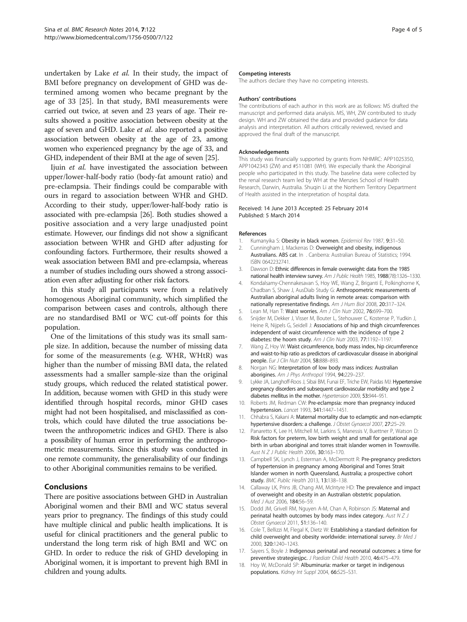<span id="page-3-0"></span>undertaken by Lake et al. In their study, the impact of BMI before pregnancy on development of GHD was determined among women who became pregnant by the age of 33 [\[25\]](#page-4-0). In that study, BMI measurements were carried out twice, at seven and 23 years of age. Their results showed a positive association between obesity at the age of seven and GHD. Lake *et al*. also reported a positive association between obesity at the age of 23, among women who experienced pregnancy by the age of 33, and GHD, independent of their BMI at the age of seven [[25](#page-4-0)].

Ijuin et al. have investigated the association between upper/lower-half-body ratio (body-fat amount ratio) and pre-eclampsia. Their findings could be comparable with ours in regard to association between WHR and GHD. According to their study, upper/lower-half-body ratio is associated with pre-eclampsia [[26](#page-4-0)]. Both studies showed a positive association and a very large unadjusted point estimate. However, our findings did not show a significant association between WHR and GHD after adjusting for confounding factors. Furthermore, their results showed a weak association between BMI and pre-eclampsia, whereas a number of studies including ours showed a strong association even after adjusting for other risk factors.

In this study all participants were from a relatively homogenous Aboriginal community, which simplified the comparison between cases and controls, although there are no standardised BMI or WC cut-off points for this population.

One of the limitations of this study was its small sample size. In addition, because the number of missing data for some of the measurements (e.g. WHR, WHtR) was higher than the number of missing BMI data, the related assessments had a smaller sample-size than the original study groups, which reduced the related statistical power. In addition, because women with GHD in this study were identified through hospital records, minor GHD cases might had not been hospitalised, and misclassified as controls, which could have diluted the true associations between the anthropometric indices and GHD. There is also a possibility of human error in performing the anthropometric measurements. Since this study was conducted in one remote community, the generalisability of our findings to other Aboriginal communities remains to be verified.

# **Conclusions**

There are positive associations between GHD in Australian Aboriginal women and their BMI and WC status several years prior to pregnancy. The findings of this study could have multiple clinical and public health implications. It is useful for clinical practitioners and the general public to understand the long term risk of high BMI and WC on GHD. In order to reduce the risk of GHD developing in Aboriginal women, it is important to prevent high BMI in children and young adults.

#### Competing interests

The authors declare they have no competing interests.

#### Authors' contributions

The contributions of each author in this work are as follows: MS drafted the manuscript and performed data analysis. MS, WH, ZW contributed to study design. WH and ZW obtained the data and provided guidance for data analysis and interpretation. All authors critically reviewed, revised and approved the final draft of the manuscript.

#### Acknowledgements

This study was financially supported by grants from NHMRC: APP1025350, APP1042343 (ZW) and #511081 (WH). We especially thank the Aboriginal people who participated in this study. The baseline data were collected by the renal research team led by WH at the Menzies School of Health Research, Darwin, Australia. Shuqin Li at the Northern Territory Department of Health assisted in the interpretation of hospital data.

#### Received: 14 June 2013 Accepted: 25 February 2014 Published: 5 March 2014

#### References

- 1. Kumanyika S: Obesity in black women. Epidemiol Rev 1987, 9:31-50.
- 2. Cunningham J, Mackerras D: Overweight and obesity, indigenous Australians. ABS cat. In . Canberra: Australian Bureau of Statistics; 1994. ISBN 0642232741.
- 3. Dawson D: Ethnic differences in female overweight: data from the 1985 national health interview survey. Am J Public Health 1985, 1988(78):1326–1330.
- 4. Kondalsamy-Chennakesavan S, Hoy WE, Wang Z, Briganti E, Polkinghorne K, Chadban S, Shaw J, AusDiab Study G: Anthropometric measurements of Australian aboriginal adults living in remote areas: comparison with nationally representative findings. Am J Hum Biol 2008, 20:317–324.
- 5. Lean M, Han T: Waist worries. Am J Clin Nutr 2002, 76:699–700.
- 6. Snijder M, Dekker J, Visser M, Bouter L, Stehouwer C, Kostense P, Yudkin J, Heine R, Nijpels G, Seidell J: Associations of hip and thigh circumferences independent of waist circumference with the incidence of type 2 diabetes: the hoorn study. Am J Clin Nutr 2003, 77:1192-1197
- 7. Wang Z, Hoy W: Waist circumference, body mass index, hip circumference and waist-to-hip ratio as predictors of cardiovascular disease in aboriginal people. Eur J Clin Nutr 2004, 58:888-893.
- 8. Norgan NG: Interpretation of low body mass indices: Australian aborigines. Am J Phys Anthropol 1994, 94:229–237.
- 9. Lykke JA, Langhoff-Roos J, Sibai BM, Funai EF, Triche EW, Paidas MJ: Hypertensive pregnancy disorders and subsequent cardiovascular morbidity and type 2 diabetes mellitus in the mother. Hypertension 2009, 53:944–951.
- 10. Roberts JM, Redman CW: Pre-eclampsia: more than pregnancy induced hypertension. Lancet 1993, 341:1447–1451.
- 11. Chhabra S, Kakani A: Maternal mortality due to eclamptic and non-eclamptic hypertensive disorders: a challenge. J Obstet Gynaecol 2007, 27:25–29.
- 12. Panaretto K, Lee H, Mitchell M, Larkins S, Manessis V, Buettner P, Watson D: Risk factors for preterm, low birth weight and small for gestational age birth in urban aboriginal and torres strait islander women in Townsville. Aust N Z J Public Health 2006, 30:163–170.
- 13. Campbell SK, Lynch J, Esterman A, McDermott R: Pre-pregnancy predictors of hypertension in pregnancy among Aboriginal and Torres Strait Islander women in north Queensland, Australia; a prospective cohort study. BMC Public Health 2013, 13:138-138
- 14. Callaway LK, Prins JB, Chang AM, McIntyre HD: The prevalence and impact of overweight and obesity in an Australian obstetric population. Med J Aust 2006, 184:56–59.
- 15. Dodd JM, Grivell RM, Nguyen A-M, Chan A, Robinson JS: Maternal and perinatal health outcomes by body mass index category. Aust  $NZJ$ Obstet Gynaecol 2011, 51:136–140.
- 16. Cole T, Bellizzi M, Flegal K, Dietz W: Establishing a standard definition for child overweight and obesity worldwide: international survey. Br Med J 2000, 320:1240–1243.
- 17. Sayers S, Boyle J: Indigenous perinatal and neonatal outcomes: a time for preventive strategiesjpc. J Paediatr Child Health 2010, 46:475–479.
- 18. Hoy W, McDonald SP: Albuminuria: marker or target in indigenous populations. Kidney Int Suppl 2004, 66:S25–S31.